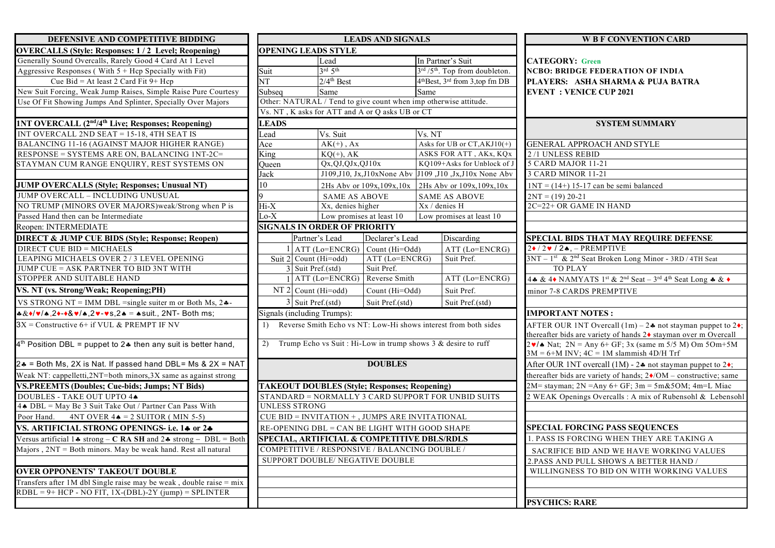| DEFENSIVE AND COMPETITIVE BIDDING                                                                                                |                        |                                   |                               | <b>LEADS AND SIGNALS</b>                                         |                                                       |                                                                 |
|----------------------------------------------------------------------------------------------------------------------------------|------------------------|-----------------------------------|-------------------------------|------------------------------------------------------------------|-------------------------------------------------------|-----------------------------------------------------------------|
| <b>OVERCALLS (Style: Responses: 1/2 Level; Reopening)</b>                                                                        |                        |                                   | <b>OPENING LEADS STYLE</b>    |                                                                  |                                                       |                                                                 |
| Generally Sound Overcalls, Rarely Good 4 Card At 1 Level                                                                         |                        |                                   | Lead                          |                                                                  |                                                       | In Partner's Suit                                               |
| Aggressive Responses (With $5 +$ Hcp Specially with Fit)                                                                         | Suit                   |                                   | $3^{\text{rd}} 5^{\text{th}}$ |                                                                  |                                                       | $3rd / 5th$ . Top from doublet                                  |
| Cue Bid = At least 2 Card Fit $9+$ Hcp                                                                                           | $\overline{\text{NT}}$ |                                   | $2/4$ <sup>th</sup> Best      |                                                                  | 4 <sup>th</sup> Best, 3 <sup>rd</sup> from 3,top fm 1 |                                                                 |
| New Suit Forcing, Weak Jump Raises, Simple Raise Pure Courtesy                                                                   | Subsea                 |                                   | Same                          |                                                                  | Same                                                  |                                                                 |
| Use Of Fit Showing Jumps And Splinter, Specially Over Majors                                                                     |                        |                                   |                               | Other: NATURAL / Tend to give count when imp otherwise attitude. |                                                       |                                                                 |
|                                                                                                                                  |                        |                                   |                               | Vs. NT, K asks for ATT and A or O asks UB or CT                  |                                                       |                                                                 |
| 1NT OVERCALL (2 <sup>nd</sup> /4 <sup>th</sup> Live; Responses; Reopening)                                                       | <b>LEADS</b>           |                                   |                               |                                                                  |                                                       |                                                                 |
| INT OVERCALL 2ND SEAT = 15-18, 4TH SEAT IS                                                                                       | ead                    |                                   | Vs. Suit                      |                                                                  | Vs. NT                                                |                                                                 |
| BALANCING 11-16 (AGAINST MAJOR HIGHER RANGE)                                                                                     | Ace                    |                                   | $AK(+)$ , Ax                  |                                                                  |                                                       | Asks for UB or CT, AKJ10                                        |
| RESPONSE = SYSTEMS ARE ON, BALANCING 1NT-2C=                                                                                     | King                   |                                   | $KO(+)$ , AK                  |                                                                  |                                                       | ASKS FOR ATT, AKx, K                                            |
| STAYMAN CUM RANGE ENQUIRY, REST SYSTEMS ON                                                                                       | Oueen                  |                                   | Qx, QJ, QJx, QJ10x            |                                                                  |                                                       | KQ109+Asks for Unblock                                          |
|                                                                                                                                  | Jack                   |                                   |                               |                                                                  |                                                       | J109, J10, Jx, J10xNone Abv J109, J10, Jx, J10x None.           |
| <b>JUMP OVERCALLS (Style; Responses; Unusual NT)</b>                                                                             | 10                     |                                   |                               | 2Hs Abv or 109x, 109x, 10x                                       |                                                       | 2Hs Abv or 109x, 109x, 1                                        |
| JUMP OVERCALL - INCLUDING UNUSUAL                                                                                                | 9                      |                                   | <b>SAME AS ABOVE</b>          |                                                                  |                                                       | <b>SAME AS ABOVE</b>                                            |
| NO TRUMP (MINORS OVER MAJORS) weak/Strong when P is                                                                              | $Hi-X$                 |                                   | Xx, denies higher             |                                                                  |                                                       | Xx / denies H                                                   |
| Passed Hand then can be Intermediate                                                                                             | Lo-X                   |                                   | Low promises at least 10      |                                                                  |                                                       | Low promises at least 10                                        |
| Reopen: INTERMEDIATE                                                                                                             |                        |                                   | SIGNALS IN ORDER OF PRIORITY  |                                                                  |                                                       |                                                                 |
| DIRECT & JUMP CUE BIDS (Style; Response; Reopen)                                                                                 |                        |                                   | Partner's Lead                | Declarer's Lead                                                  |                                                       | Discarding                                                      |
| <b>DIRECT CUE BID = MICHAELS</b>                                                                                                 |                        | $1$ ATT (Lo=ENCRG) Count (Hi=Odd) |                               |                                                                  |                                                       | ATT (Lo=ENCR                                                    |
| LEAPING MICHAELS OVER 2 / 3 LEVEL OPENING                                                                                        |                        | Suit 2 Count (Hi=odd)             |                               | ATT (Lo=ENCRG)                                                   |                                                       | Suit Pref.                                                      |
| JUMP CUE = ASK PARTNER TO BID 3NT WITH                                                                                           |                        | 3 Suit Pref.(std)                 |                               | Suit Pref.                                                       |                                                       |                                                                 |
| STOPPER AND SUITABLE HAND                                                                                                        |                        | 1 ATT (Lo=ENCRG) Reverse Smith    |                               |                                                                  |                                                       | ATT (Lo=ENCR                                                    |
| VS. NT (vs. Strong/Weak; Reopening; PH)                                                                                          |                        |                                   | $NT2$ Count (Hi=odd)          | Count (Hi=Odd)                                                   |                                                       | Suit Pref.                                                      |
| VS STRONG NT = IMM DBL = single suiter m or Both Ms, $2\clubsuit$ -                                                              |                        |                                   | 3 Suit Pref.(std)             | Suit Pref.(std)                                                  |                                                       | Suit Pref.(std)                                                 |
| $4&8* v $ $\land$ ,2 $\rightarrow$ $8* A$ , 2 $\rightarrow$ $\bullet$ s,2 $\land$ = $\land$ suit., 2NT- Both ms;                 |                        |                                   | Signals (including Trumps):   |                                                                  |                                                       |                                                                 |
| $3X =$ Constructive 6+ if VUL & PREMPT IF NV                                                                                     | $\left( \right)$       |                                   |                               |                                                                  |                                                       | Reverse Smith Echo vs NT: Low-Hi shows interest from both sides |
| $4th$ Position DBL = puppet to 2 $\clubsuit$ then any suit is better hand,                                                       | 2)                     |                                   |                               |                                                                  |                                                       | Trump Echo vs Suit : Hi-Low in trump shows 3 & desire to ruff   |
| $2*$ = Both Ms, 2X is Nat. If passed hand DBL= Ms & 2X = NAT<br>Weak NT: cappelletti, 2NT=both minors, 3X same as against strong |                        |                                   |                               | <b>DOUBLES</b>                                                   |                                                       |                                                                 |
| <b>VS.PREEMTS (Doubles; Cue-bids; Jumps; NT Bids)</b>                                                                            |                        |                                   |                               | <b>TAKEOUT DOUBLES (Style; Responses; Reopening)</b>             |                                                       |                                                                 |
| DOUBLES - TAKE OUT UPTO 4.                                                                                                       |                        |                                   |                               |                                                                  |                                                       | STANDARD = NORMALLY 3 CARD SUPPORT FOR UNBID SUITS              |
| 44 DBL = May Be 3 Suit Take Out / Partner Can Pass With                                                                          | <b>UNLESS STRONG</b>   |                                   |                               |                                                                  |                                                       |                                                                 |
| $4NT OVER 4 \triangleq 2$ SUITOR (MIN 5-5)<br>Poor Hand.                                                                         |                        |                                   |                               | CUE BID = INVITATION +, JUMPS ARE INVITATIONAL                   |                                                       |                                                                 |
| VS. ARTIFICIAL STRONG OPENINGS-i.e. 14 or 24                                                                                     |                        |                                   |                               | RE-OPENING DBL = CAN BE LIGHT WITH GOOD SHAPE                    |                                                       |                                                                 |
| Versus artificial 1 $\triangle$ strong – C RA SH and 2 $\triangle$ strong – DBL = Both                                           |                        |                                   |                               | SPECIAL, ARTIFICIAL & COMPETITIVE DBLS/RDLS                      |                                                       |                                                                 |
| Majors, 2NT = Both minors. May be weak hand. Rest all natural                                                                    |                        |                                   |                               | COMPETITIVE / RESPONSIVE / BALANCING DOUBLE /                    |                                                       |                                                                 |
|                                                                                                                                  |                        |                                   |                               | SUPPORT DOUBLE/ NEGATIVE DOUBLE                                  |                                                       |                                                                 |
| <b>OVER OPPONENTS' TAKEOUT DOUBLE</b>                                                                                            |                        |                                   |                               |                                                                  |                                                       |                                                                 |
| Transfers after 1M dbl Single raise may be weak, double raise = mix                                                              |                        |                                   |                               |                                                                  |                                                       |                                                                 |
| $RDBL = 9 + HCP - NO FIT, 1X-(DBL)-2Y (jump) = SPLINTER$                                                                         |                        |                                   |                               |                                                                  |                                                       |                                                                 |
|                                                                                                                                  |                        |                                   |                               |                                                                  |                                                       |                                                                 |

| DEFENSIVE AND COMPETITIVE BIDDING                                                                                                                                                                                                                                                                                             |                 |                                                      | <b>LEADS AND SIGNALS</b> |                                                                  | <b>W B F CONVENTION CARD</b>                                                                                                            |
|-------------------------------------------------------------------------------------------------------------------------------------------------------------------------------------------------------------------------------------------------------------------------------------------------------------------------------|-----------------|------------------------------------------------------|--------------------------|------------------------------------------------------------------|-----------------------------------------------------------------------------------------------------------------------------------------|
| <b>OVERCALLS (Style: Responses: 1/2 Level; Reopening)</b>                                                                                                                                                                                                                                                                     |                 | <b>OPENING LEADS STYLE</b>                           |                          |                                                                  |                                                                                                                                         |
| Generally Sound Overcalls, Rarely Good 4 Card At 1 Level                                                                                                                                                                                                                                                                      |                 | Lead                                                 |                          | In Partner's Suit                                                | <b>CATEGORY: Green</b>                                                                                                                  |
| Aggressive Responses (With $5 + Hcp$ Specially with Fit)                                                                                                                                                                                                                                                                      | Suit            | $3^{\text{rd}} 5^{\text{th}}$                        |                          | $3^{\text{rd}}$ /5 <sup>th</sup> . Top from doubleton.           | <b>NCBO: BRIDGE FEDERATION OF INDIA</b>                                                                                                 |
| Cue Bid = At least 2 Card Fit $9+$ Hcp                                                                                                                                                                                                                                                                                        | NT              | $2/4$ <sup>th</sup> Best                             |                          | 4 <sup>th</sup> Best, 3 <sup>rd</sup> from 3,top fm DB           | PLAYERS: ASHA SHARMA & PUJA BATRA                                                                                                       |
| New Suit Forcing, Weak Jump Raises, Simple Raise Pure Courtesy                                                                                                                                                                                                                                                                | Subsea          | Same                                                 |                          | Same                                                             | <b>EVENT : VENICE CUP 2021</b>                                                                                                          |
| Use Of Fit Showing Jumps And Splinter, Specially Over Majors                                                                                                                                                                                                                                                                  |                 |                                                      |                          | Other: NATURAL / Tend to give count when imp otherwise attitude. |                                                                                                                                         |
|                                                                                                                                                                                                                                                                                                                               |                 | Vs. NT, K asks for ATT and A or Q asks UB or CT      |                          |                                                                  |                                                                                                                                         |
| 1NT OVERCALL (2 <sup>nd</sup> /4 <sup>th</sup> Live; Responses; Reopening)                                                                                                                                                                                                                                                    | <b>LEADS</b>    |                                                      |                          |                                                                  | <b>SYSTEM SUMMARY</b>                                                                                                                   |
| INT OVERCALL 2ND SEAT = 15-18, 4TH SEAT IS                                                                                                                                                                                                                                                                                    | Lead            | Vs. Suit                                             |                          | Vs. NT                                                           |                                                                                                                                         |
| BALANCING 11-16 (AGAINST MAJOR HIGHER RANGE)                                                                                                                                                                                                                                                                                  | Ace             | $AK(+)$ , Ax                                         |                          | Asks for UB or $CT, AKJ10(+)$                                    | <b>GENERAL APPROACH AND STYLE</b>                                                                                                       |
| RESPONSE = SYSTEMS ARE ON, BALANCING 1NT-2C=                                                                                                                                                                                                                                                                                  | King            | $KO(+)$ , AK                                         |                          | ASKS FOR ATT, AKx, KQx                                           | 2/1 UNLESS REBID                                                                                                                        |
| STAYMAN CUM RANGE ENQUIRY, REST SYSTEMS ON                                                                                                                                                                                                                                                                                    | Queen           | Qx, QJ, QJx, QJ10x                                   |                          | KQ109+Asks for Unblock of J                                      | 5 CARD MAJOR 11-21                                                                                                                      |
|                                                                                                                                                                                                                                                                                                                               | Jack            |                                                      |                          | J109, J10, Jx, J10xNone Abv J109, J10, Jx, J10x None Abv         | 3 CARD MINOR 11-21                                                                                                                      |
| <b>JUMP OVERCALLS (Style; Responses; Unusual NT)</b>                                                                                                                                                                                                                                                                          | 10 <sup>1</sup> |                                                      |                          | 2Hs Abv or $109x, 109x, 10x$ 2Hs Abv or $109x, 109x, 10x$        | $1NT = (14+) 15-17$ can be semi balanced                                                                                                |
| JUMP OVERCALL - INCLUDING UNUSUAL                                                                                                                                                                                                                                                                                             |                 | <b>SAME AS ABOVE</b>                                 |                          | SAME AS ABOVE                                                    | $2NT = (19) 20-21$                                                                                                                      |
| NO TRUMP (MINORS OVER MAJORS) weak/Strong when P is                                                                                                                                                                                                                                                                           | $Hi-X$          | Xx, denies higher                                    |                          | Xx / denies H                                                    | 2C=22+ OR GAME IN HAND                                                                                                                  |
| Passed Hand then can be Intermediate                                                                                                                                                                                                                                                                                          | $Lo-X$          |                                                      | Low promises at least 10 | Low promises at least 10                                         |                                                                                                                                         |
| Reopen: INTERMEDIATE                                                                                                                                                                                                                                                                                                          |                 | <b>SIGNALS IN ORDER OF PRIORITY</b>                  |                          |                                                                  |                                                                                                                                         |
| <b>DIRECT &amp; JUMP CUE BIDS (Style; Response; Reopen)</b>                                                                                                                                                                                                                                                                   |                 | Partner's Lead                                       | Declarer's Lead          | Discarding                                                       | <b>SPECIAL BIDS THAT MAY REQUIRE DEFENSE</b>                                                                                            |
| <b>DIRECT CUE BID = MICHAELS</b>                                                                                                                                                                                                                                                                                              |                 | $ATT (Lo=ENCRG)$ Count (Hi=Odd)                      |                          | ATT (Lo=ENCRG)                                                   | $2 \cdot 2 \cdot 2 \cdot 2$ , - PREMPTIVE                                                                                               |
| LEAPING MICHAELS OVER 2/3 LEVEL OPENING                                                                                                                                                                                                                                                                                       |                 | Suit 2 Count (Hi=odd)                                | ATT (Lo=ENCRG)           | Suit Pref.                                                       | 3NT - 1 <sup>st</sup> & 2 <sup>nd</sup> Seat Broken Long Minor - 3RD / 4TH Seat                                                         |
| JUMP CUE = ASK PARTNER TO BID 3NT WITH                                                                                                                                                                                                                                                                                        |                 | 3 Suit Pref.(std)                                    | Suit Pref.               |                                                                  | <b>TO PLAY</b>                                                                                                                          |
| STOPPER AND SUITABLE HAND                                                                                                                                                                                                                                                                                                     |                 | 1 ATT (Lo=ENCRG) Reverse Smith                       |                          | ATT (Lo=ENCRG)                                                   | 4. & 4. NAMYATS 1st & 2nd Seat - 3rd 4th Seat Long $\clubsuit \& \rightarrow$                                                           |
| VS. NT (vs. Strong/Weak; Reopening; PH)                                                                                                                                                                                                                                                                                       |                 | NT $2$ Count (Hi=odd)                                | Count (Hi=Odd)           | Suit Pref.                                                       | minor 7-8 CARDS PREMPTIVE                                                                                                               |
| VS STRONG NT = IMM DBL = single suiter m or Both Ms, $2\clubsuit$ -                                                                                                                                                                                                                                                           |                 | $3$ Suit Pref.(std)                                  | Suit Pref.(std)          | Suit Pref.(std)                                                  |                                                                                                                                         |
| $A & (1 - 2) + (1 - 3) + (1 - 3) + (1 - 4) + (1 - 3) + (1 - 5) + (1 - 5) + (1 - 5) + (1 - 5) + (1 - 5) + (1 - 5) + (1 - 5) + (1 - 5) + (1 - 5) + (1 - 5) + (1 - 5) + (1 - 5) + (1 - 5) + (1 - 5) + (1 - 5) + (1 - 5) + (1 - 5) + (1 - 5) + (1 - 5) + (1 - 5) + (1 - 5) + (1 - 5) + (1 - 5) + (1 - 5) + (1 - 5) + (1 - 5) + ($ |                 | Signals (including Trumps):                          |                          |                                                                  | <b>IMPORTANT NOTES:</b>                                                                                                                 |
| $3X =$ Constructive 6+ if VUL & PREMPT IF NV                                                                                                                                                                                                                                                                                  |                 |                                                      |                          | Reverse Smith Echo vs NT: Low-Hi shows interest from both sides  | AFTER OUR 1NT Overcall $(1m) - 2$ not stayman puppet to $2\bullet$ ;<br>thereafter bids are variety of hands 2◆ stayman over m Overcall |
| $4th$ Position DBL = puppet to 2 $\clubsuit$ then any suit is better hand,                                                                                                                                                                                                                                                    | (2)             |                                                      |                          | Trump Echo vs Suit : Hi-Low in trump shows 3 & desire to ruff    | $2\sqrt{4}$ Nat; $2N = Any 6 + GF$ ; $3x$ (same m 5/5 M) Om 50m+5M<br>$3M = 6+M$ INV; $4C = 1M$ slammish $4D/H$ Trf                     |
| 2.4 = Both Ms, 2X is Nat. If passed hand DBL= Ms & 2X = NAT                                                                                                                                                                                                                                                                   |                 |                                                      | <b>DOUBLES</b>           |                                                                  | After OUR 1NT overcall (1M) - 24 not stayman puppet to $2\bullet$ ;                                                                     |
| Weak NT: cappelletti,2NT=both minors,3X same as against strong                                                                                                                                                                                                                                                                |                 |                                                      |                          |                                                                  | thereafter bids are variety of hands; $2\bullet$ /OM – constructive; same                                                               |
| <b>VS.PREEMTS (Doubles; Cue-bids; Jumps; NT Bids)</b>                                                                                                                                                                                                                                                                         |                 | <b>TAKEOUT DOUBLES (Style; Responses; Reopening)</b> |                          |                                                                  | $2M$ = stayman; $2N$ = Any 6+ GF; $3m$ = 5m&5OM; $4m$ =L Miac                                                                           |
| <b>DOUBLES - TAKE OUT UPTO 44</b>                                                                                                                                                                                                                                                                                             |                 |                                                      |                          | STANDARD = NORMALLY 3 CARD SUPPORT FOR UNBID SUITS               | WEAK Openings Overcalls: A mix of Rubensohl & Lebensohl                                                                                 |
| 4. DBL = May Be 3 Suit Take Out / Partner Can Pass With                                                                                                                                                                                                                                                                       |                 | <b>UNLESS STRONG</b>                                 |                          |                                                                  |                                                                                                                                         |
| $4NT OVER 4 \triangleq 2 SUITOR (MIN 5-5)$<br>Poor Hand.                                                                                                                                                                                                                                                                      |                 | CUE BID = INVITATION +, JUMPS ARE INVITATIONAL       |                          |                                                                  |                                                                                                                                         |
| VS. ARTIFICIAL STRONG OPENINGS-i.e. 14 or 24                                                                                                                                                                                                                                                                                  |                 | RE-OPENING DBL = CAN BE LIGHT WITH GOOD SHAPE        |                          |                                                                  | SPECIAL FORCING PASS SEQUENCES                                                                                                          |
| Versus artificial 1 $\triangle$ strong – C RA SH and 2 $\triangle$ strong – DBL = Both                                                                                                                                                                                                                                        |                 | SPECIAL, ARTIFICIAL & COMPETITIVE DBLS/RDLS          |                          |                                                                  | 1. PASS IS FORCING WHEN THEY ARE TAKING A                                                                                               |
| Majors, 2NT = Both minors. May be weak hand. Rest all natural                                                                                                                                                                                                                                                                 |                 | COMPETITIVE / RESPONSIVE / BALANCING DOUBLE /        |                          |                                                                  | SACRIFICE BID AND WE HAVE WORKING VALUES                                                                                                |
|                                                                                                                                                                                                                                                                                                                               |                 | SUPPORT DOUBLE/ NEGATIVE DOUBLE                      |                          |                                                                  | 2. PASS AND PULL SHOWS A BETTER HAND                                                                                                    |
| <b>OVER OPPONENTS' TAKEOUT DOUBLE</b>                                                                                                                                                                                                                                                                                         |                 |                                                      |                          |                                                                  | WILLINGNESS TO BID ON WITH WORKING VALUES                                                                                               |
| Transfers after 1M dbl Single raise may be weak, double raise = mix                                                                                                                                                                                                                                                           |                 |                                                      |                          |                                                                  |                                                                                                                                         |
| $RDBL = 9 + HCP - NO FIT, 1X-(DBL)-2Y (jump) = SPLINTER$                                                                                                                                                                                                                                                                      |                 |                                                      |                          |                                                                  |                                                                                                                                         |
|                                                                                                                                                                                                                                                                                                                               |                 |                                                      |                          |                                                                  | <b>PSYCHICS: RARE</b>                                                                                                                   |
|                                                                                                                                                                                                                                                                                                                               |                 |                                                      |                          |                                                                  |                                                                                                                                         |

| <b>W B F CONVENTION CARD</b>                                                                                       |
|--------------------------------------------------------------------------------------------------------------------|
|                                                                                                                    |
| <b>CATEGORY: Green</b>                                                                                             |
| NCBO: BRIDGE FEDERATION OF INDIA                                                                                   |
| PLAYERS: ASHA SHARMA & PUJA BATRA                                                                                  |
| <b>EVENT : VENICE CUP 2021</b>                                                                                     |
|                                                                                                                    |
| <b>SYSTEM SUMMARY</b>                                                                                              |
| <b>GENERAL APPROACH AND STYLE</b>                                                                                  |
| 2/1 UNLESS REBID                                                                                                   |
| 5 CARD MAJOR 11-21                                                                                                 |
| <b>3 CARD MINOR 11-21</b>                                                                                          |
| $1NT = (14+) 15-17$ can be semi balanced                                                                           |
| $2NT = (19) 20-21$                                                                                                 |
| 2C=22+ OR GAME IN HAND                                                                                             |
|                                                                                                                    |
| SPECIAL BIDS THAT MAY REQUIRE DEFENSE                                                                              |
| $2\cdot$ /2 $\cdot$ /2 $\bullet$ , - PREMPTIVE                                                                     |
| 3NT - 1 <sup>st</sup> & 2 <sup>nd</sup> Seat Broken Long Minor - 3RD / 4TH Seat                                    |
| <b>TO PLAY</b>                                                                                                     |
| 4. & 4. NAMYATS 1 <sup>st</sup> & 2 <sup>nd</sup> Seat – 3 <sup>rd</sup> 4 <sup>th</sup> Seat Long * & +           |
| minor 7-8 CARDS PREMPTIVE                                                                                          |
|                                                                                                                    |
| <b>IMPORTANT NOTES:</b>                                                                                            |
| AFTER OUR 1NT Overcall $(1m) - 2$ not stayman puppet to $2\bullet$ ;                                               |
| thereafter bids are variety of hands 2◆ stayman over m Overcall                                                    |
| $2 \cdot 14$ Nat; $2N = Any 6 + GF$ ; 3x (same m 5/5 M) Om 50m+5M<br>$3M = 6+M$ INV; $4C = 1M$ slammish $4D/H$ Trf |
| After OUR 1NT overcall (1M) - $2*$ not stayman puppet to $2*$ ;                                                    |
| thereafter bids are variety of hands; $2\bullet/OM$ – constructive; same                                           |
| 2M= stayman; 2N = Any 6+ GF; 3m = 5m&5OM; 4m=L Miac                                                                |
| 2 WEAK Openings Overcalls : A mix of Rubensohl & Lebensohl                                                         |
|                                                                                                                    |
| SPECIAL FORCING PASS SEQUENCES                                                                                     |
| 1. PASS IS FORCING WHEN THEY ARE TAKING A                                                                          |
| SACRIFICE BID AND WE HAVE WORKING VALUES                                                                           |
| 2.PASS AND PULL SHOWS A BETTER HAND /                                                                              |
| WILLINGNESS TO BID ON WITH WORKING VALUES                                                                          |
|                                                                                                                    |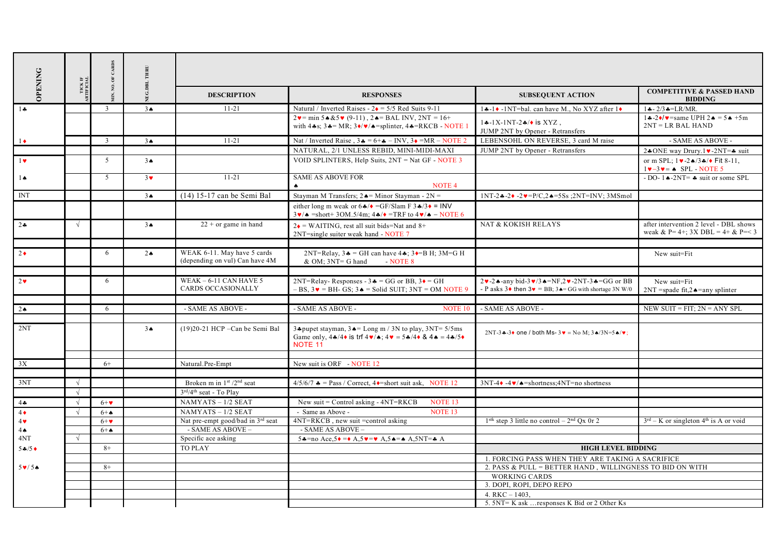| <b>OPENING</b> |                   |                  |                   |                                                               |                                                                                                                                                                                                                                                                          |                                                                                                                                                     |                                                                                                     |
|----------------|-------------------|------------------|-------------------|---------------------------------------------------------------|--------------------------------------------------------------------------------------------------------------------------------------------------------------------------------------------------------------------------------------------------------------------------|-----------------------------------------------------------------------------------------------------------------------------------------------------|-----------------------------------------------------------------------------------------------------|
|                | TICK IF RTIFICIAL |                  |                   | <b>DESCRIPTION</b>                                            | <b>RESPONSES</b>                                                                                                                                                                                                                                                         | <b>SUBSEQUENT ACTION</b>                                                                                                                            | <b>COMPETITIVE &amp; PASSED HAND</b><br><b>BIDDING</b>                                              |
| $1 +$          |                   | $\overline{3}$   | 3 <sub>•</sub>    | $11-21$                                                       | Natural / Inverted Raises - $2\bullet$ = 5/5 Red Suits 9-11                                                                                                                                                                                                              | 14-1↓ -1NT=bal. can have M., No XYZ after 1◆                                                                                                        | $1 - 2/3 - LR/MR$ .                                                                                 |
|                |                   |                  |                   |                                                               | $2\mathbf{v} = \min 5 \cdot 8.5 \cdot (9-11)$ , $2\mathbf{A} = \text{BAL} \cdot \text{INV}$ , $2NT = 16+$<br>with $4\clubsuit s$ ; $3\clubsuit$ = MR; $3\spadesuit/\spadesuit$ = splinter, $4\spadesuit$ = RKCB - NOTE 1                                                 | $1 \div 1X - 1NT - 2 \div 1 \times XYZ$ ,<br>JUMP 2NT by Opener - Retransfers                                                                       | $1 \div 2 \rightarrow / \sqrt{\bullet}$ = same UPH 2 $\land$ = 5 $\land$ +5m<br>$2NT = LR BAL HAND$ |
| $1\bullet$     |                   | $\overline{3}$   | 3 <sub>•</sub>    | $11-21$                                                       | Nat / Inverted Raise, $3\bullet = 6 + \bullet - INV$ , $3\bullet = MR - NOTE$ 2                                                                                                                                                                                          | LEBENSOHL ON REVERSE, 3 card M raise                                                                                                                | - SAME AS ABOVE -                                                                                   |
|                |                   |                  |                   |                                                               | NATURAL, 2/1 UNLESS REBID, MINI-MIDI-MAXI                                                                                                                                                                                                                                | JUMP 2NT by Opener - Retransfers                                                                                                                    | 24 ONE way Drury 1 v-2NT=4 suit                                                                     |
| $1$ v          |                   | 5                | 3 <sub>•</sub>    |                                                               | VOID SPLINTERS, Help Suits, 2NT = Nat GF - NOTE 3                                                                                                                                                                                                                        |                                                                                                                                                     | or m SPL; $1 \vee -2 \triangle 3 \triangle 4$ Fit 8-11,<br>$1 \vee -3 \vee = 4$ SPL - NOTE 5        |
| $1 \spadesuit$ |                   | 5                | $3\vee$           | $11-21$                                                       | <b>SAME AS ABOVE FOR</b><br>NOTE <sub>4</sub><br>$\clubsuit$                                                                                                                                                                                                             |                                                                                                                                                     | - DO-14-2NT= $\clubsuit$ suit or some SPL                                                           |
| <b>INT</b>     |                   |                  | 3 <sub>•</sub>    | (14) 15-17 can be Semi Bal                                    | Stayman M Transfers; $2 \triangleleft =$ Minor Stayman - $2N =$                                                                                                                                                                                                          | $1NT - 2 - 2 - 2 = P/C, 2 - 5S$ ; $2NT = INV$ ; $3MSmol$                                                                                            |                                                                                                     |
|                |                   |                  |                   |                                                               | either long m weak or $6\frac{4}{9}$ = GF/Slam F 3 $\frac{4}{3}$ = INV<br>$3\blacktriangledown/\blacktriangle$ =short+30M.5/4m; 44/ $\blacktriangle$ =TRF to 4 $\blacktriangledown/\blacktriangle$ – NOTE 6                                                              |                                                                                                                                                     |                                                                                                     |
| 24             | $\sqrt{ }$        |                  | 3 <sub>•</sub>    | $22 +$ or game in hand                                        | $2\bullet$ = WAITING, rest all suit bids=Nat and 8+<br>2NT=single suiter weak hand - NOTE 7                                                                                                                                                                              | NAT & KOKISH RELAYS                                                                                                                                 | after intervention 2 level - DBL shows<br>weak & P= 4+; 3X DBL = 4+ & P=< 3                         |
| $2\bullet$     |                   | 6                | $2 \triangleleft$ | WEAK 6-11. May have 5 cards<br>(depending on vul) Can have 4M | 2NT=Relay, $3\bullet = \text{GH}$ can have $4\bullet$ ; $3\bullet = \text{B}$ H; $3M = G$ H<br>$&$ OM; $3NT = G$ hand<br>$-$ NOTE $8$                                                                                                                                    |                                                                                                                                                     | New suit=Fit                                                                                        |
|                |                   |                  |                   |                                                               |                                                                                                                                                                                                                                                                          |                                                                                                                                                     |                                                                                                     |
| $2\bullet$     |                   | 6                |                   | WEAK $-6-11$ CAN HAVE 5<br>CARDS OCCASIONALLY                 | 2NT=Relay-Responses - $3 \cdot = G$ G or BB, $3 \cdot = G$ H<br>$-BS$ , $3\vee$ = BH-GS; $3\triangle$ = Solid SUIT; $3NT = OM NOTE$ 9                                                                                                                                    | 2v-2 $\star$ -any bid-3v/3 $\star$ =NF,2v-2NT-3 $\star$ =GG or BB<br>- P asks $3\bullet$ then $3\bullet$ = BB; $3\bullet$ = GG with shortage 3N W/0 | New suit=Fit<br>$2NT$ =spade fit, $2 \triangle$ = any splinter                                      |
|                |                   |                  |                   |                                                               |                                                                                                                                                                                                                                                                          |                                                                                                                                                     |                                                                                                     |
| 2 <sub>0</sub> |                   | 6                |                   | - SAME AS ABOVE -                                             | - SAME AS ABOVE -<br>NOTE <sub>10</sub>                                                                                                                                                                                                                                  | - SAME AS ABOVE -                                                                                                                                   | NEW SUIT = $FIT$ ; $2N = ANY$ SPL                                                                   |
| 2NT            |                   |                  | 3 <sub>•</sub>    | (19)20-21 HCP - Can be Semi Bal                               | 3.4 pupet stayman, $3 \triangle =$ Long m / 3N to play, $3NT = 5/5ms$<br>Game only, $4\cdot 4\cdot 4$ is trf $4\cdot 4\cdot 4\cdot 5\cdot 4\cdot 5\cdot 4\cdot 8$ $4\cdot 4\cdot 5\cdot 5\cdot 4\cdot 5\cdot 4\cdot 5\cdot 5\cdot 5\cdot 5\cdot 6$<br>NOTE <sub>11</sub> | $2NT-3 \cdot -3 \cdot$ one / both Ms- $3 \cdot \sqrt{ }$ = No M; $3 \cdot \sqrt{ }3N=5 \cdot \sqrt{ }$ ;                                            |                                                                                                     |
|                |                   |                  |                   |                                                               |                                                                                                                                                                                                                                                                          |                                                                                                                                                     |                                                                                                     |
| 3X             |                   | $6+$             |                   | Natural.Pre-Empt                                              | New suit is ORF - NOTE 12                                                                                                                                                                                                                                                |                                                                                                                                                     |                                                                                                     |
| 3NT            | $\sqrt{ }$        |                  |                   | Broken m in 1 <sup>st</sup> /2 <sup>nd</sup> seat             | $4/5/6/7$ $\bullet$ = Pass / Correct, 4 $\bullet$ =short suit ask, NOTE 12                                                                                                                                                                                               | $3NT-4$ $-4$ $\vee$ / $\triangle$ = shortness; $4NT = no$ shortness                                                                                 |                                                                                                     |
|                | $\sqrt{ }$        |                  |                   | $3rd/4th$ seat - To Play                                      |                                                                                                                                                                                                                                                                          |                                                                                                                                                     |                                                                                                     |
| $4\clubsuit$   | $\sqrt{ }$        | $6 + \bullet$    |                   | $NAMYATS - 1/2$ SEAT                                          | New suit = Control asking $-4NT=RKCB$<br>NOTE <sub>13</sub>                                                                                                                                                                                                              |                                                                                                                                                     |                                                                                                     |
| $4\bullet$     | $\sqrt{ }$        | $6 + \spadesuit$ |                   | $NAMYATS - 1/2$ SEAT                                          | - Same as Above -<br>NOTE <sub>13</sub>                                                                                                                                                                                                                                  |                                                                                                                                                     |                                                                                                     |
| $4\bullet$     |                   | $6 + \bullet$    |                   | Nat pre-empt good/bad in 3 <sup>rd</sup> seat                 | 4NT=RKCB, new suit = control asking                                                                                                                                                                                                                                      | $1stk$ step 3 little no control – $2nd$ Qx 0r 2                                                                                                     | $3rd - K$ or singleton 4 <sup>th</sup> is A or void                                                 |
| $4 \spadesuit$ |                   | $6+$             |                   | - SAME AS ABOVE -                                             | - SAME AS ABOVE -                                                                                                                                                                                                                                                        |                                                                                                                                                     |                                                                                                     |
| 4NT            | $\sqrt{ }$        |                  |                   | Specific ace asking                                           | 54=no Ace,5 $\bullet$ = $\bullet$ A,5 $\bullet$ = $\bullet$ A,5 $\bullet$ = $\bullet$ A,5NT= $\bullet$ A                                                                                                                                                                 |                                                                                                                                                     |                                                                                                     |
| $54/5+$        |                   | $8+$             |                   | <b>TO PLAY</b>                                                |                                                                                                                                                                                                                                                                          | <b>HIGH LEVEL BIDDING</b>                                                                                                                           |                                                                                                     |
|                |                   |                  |                   |                                                               |                                                                                                                                                                                                                                                                          | 1. FORCING PASS WHEN THEY ARE TAKING A SACRIFICE                                                                                                    |                                                                                                     |
| $5 \vee 54$    |                   | $8+$             |                   |                                                               |                                                                                                                                                                                                                                                                          | 2. PASS & PULL = BETTER HAND, WILLINGNESS TO BID ON WITH                                                                                            |                                                                                                     |
|                |                   |                  |                   |                                                               |                                                                                                                                                                                                                                                                          | <b>WORKING CARDS</b><br>3. DOPI, ROPI, DEPO REPO                                                                                                    |                                                                                                     |
|                |                   |                  |                   |                                                               |                                                                                                                                                                                                                                                                          | 4. RKC $- 1403$ ,                                                                                                                                   |                                                                                                     |
|                |                   |                  |                   |                                                               |                                                                                                                                                                                                                                                                          | 5. 5NT= K ask  responses K Bid or 2 Other Ks                                                                                                        |                                                                                                     |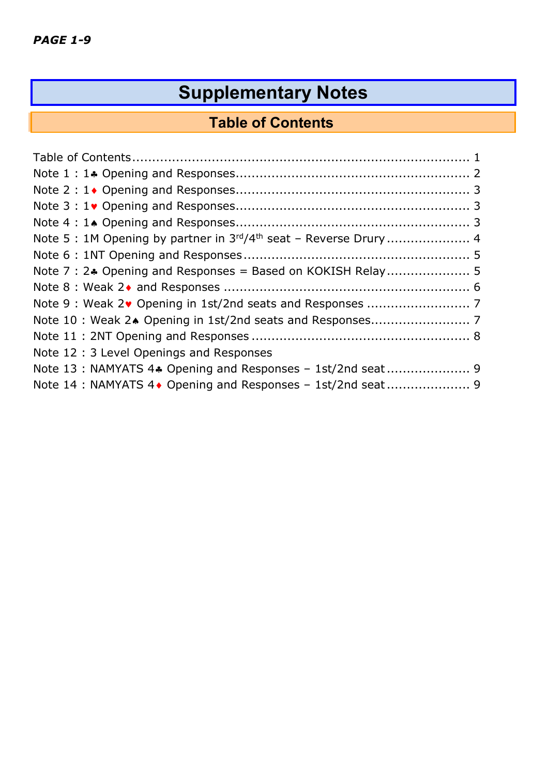# **Supplementary Notes**

# **Table of Contents**

| Note 5 : 1M Opening by partner in 3rd/4 <sup>th</sup> seat - Reverse Drury  4 |  |
|-------------------------------------------------------------------------------|--|
|                                                                               |  |
|                                                                               |  |
|                                                                               |  |
|                                                                               |  |
|                                                                               |  |
|                                                                               |  |
| Note 12: 3 Level Openings and Responses                                       |  |
| Note 13: NAMYATS 4. Opening and Responses - 1st/2nd seat 9                    |  |
|                                                                               |  |
|                                                                               |  |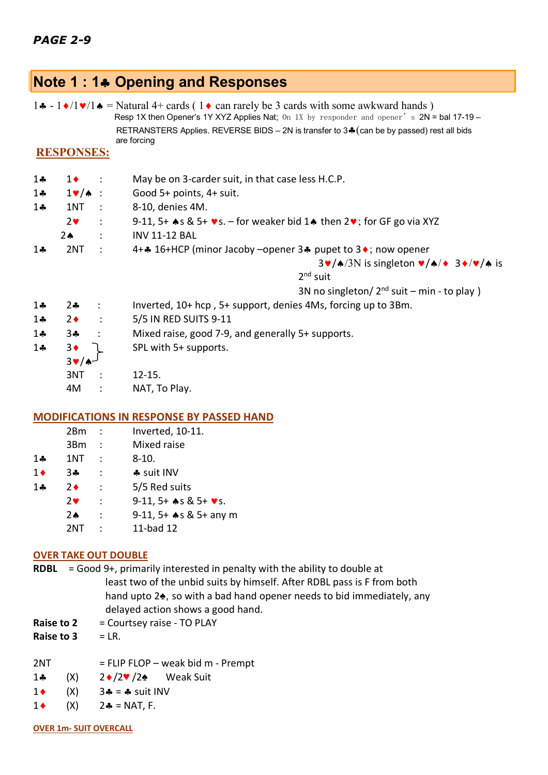### *PAGE 2-9*

# **Note 1 : 1**§ **Opening and Responses**

|       |                     |          | $1 \cdot \cdot \cdot$ - 1 $\cdot$ /1 $\cdot$ /1 $\cdot$ = Natural 4+ cards (1 $\cdot$ can rarely be 3 cards with some awkward hands)<br>Resp 1X then Opener's 1Y XYZ Applies Nat; 0n 1X by responder and opener' s $2N = bal 17-19 -$<br>RETRANSTERS Applies. REVERSE BIDS - 2N is transfer to 3♣ (can be by passed) rest all bids<br>are forcing |
|-------|---------------------|----------|---------------------------------------------------------------------------------------------------------------------------------------------------------------------------------------------------------------------------------------------------------------------------------------------------------------------------------------------------|
|       | <b>RESPONSES:</b>   |          |                                                                                                                                                                                                                                                                                                                                                   |
| $1 -$ | $1 \bullet$ :       |          | May be on 3-carder suit, in that case less H.C.P.                                                                                                                                                                                                                                                                                                 |
| $1 +$ | $1 \vee / \wedge$ : |          | Good 5+ points, 4+ suit.                                                                                                                                                                                                                                                                                                                          |
| $1 -$ | 1NT                 |          | 8-10, denies 4M.<br>$\sim 1000$ and $\sim 1000$                                                                                                                                                                                                                                                                                                   |
|       | $2 \bullet$ :       |          | 9-11, 5+ As & 5+ $\triangledown$ s. – for weaker bid 1A then 2 $\triangledown$ ; for GF go via XYZ                                                                                                                                                                                                                                                |
|       | $2 \spadesuit$ :    |          | <b>INV 11-12 BAL</b>                                                                                                                                                                                                                                                                                                                              |
| $1 -$ | $2NT$ :             |          | 4+* 16+HCP (minor Jacoby -opener 3* pupet to 3 •; now opener                                                                                                                                                                                                                                                                                      |
|       |                     |          | $3\cdot / \sqrt{4}/3N$ is singleton $\sqrt{4}/\sqrt{3}/\sqrt{8}$ is                                                                                                                                                                                                                                                                               |
|       |                     |          | $2nd$ suit                                                                                                                                                                                                                                                                                                                                        |
|       |                     |          | 3N no singleton/ $2^{nd}$ suit – min - to play)                                                                                                                                                                                                                                                                                                   |
| $1 -$ | $2 - 2$             |          | Inverted, 10+ hcp, 5+ support, denies 4Ms, forcing up to 3Bm.                                                                                                                                                                                                                                                                                     |
| $1 -$ | $2 \bullet$ :       |          | 5/5 IN RED SUITS 9-11                                                                                                                                                                                                                                                                                                                             |
| $1 -$ | $3 - 2$             |          | Mixed raise, good 7-9, and generally 5+ supports.                                                                                                                                                                                                                                                                                                 |
| $1 -$ | $3\bullet$          |          | SPL with 5+ supports.                                                                                                                                                                                                                                                                                                                             |
|       | $3$ v/a             |          |                                                                                                                                                                                                                                                                                                                                                   |
|       | 3NT                 | $\sim$ 1 | $12 - 15.$                                                                                                                                                                                                                                                                                                                                        |
|       | 4M                  |          | NAT, To Play.                                                                                                                                                                                                                                                                                                                                     |

#### **MODIFICATIONS IN RESPONSE BY PASSED HAND**

|            | 2Bm            | $\mathcal{L}$        | Inverted, 10-11.                                    |
|------------|----------------|----------------------|-----------------------------------------------------|
|            | 3Bm            | $\ddot{\phantom{a}}$ | Mixed raise                                         |
| $1 -$      | 1NT            | $\ddot{\phantom{a}}$ | $8 - 10.$                                           |
| $1\bullet$ | 34             | $\ddot{\phantom{a}}$ | ♣ suit INV                                          |
| $1 +$      | $2\bullet$     | $\ddot{\cdot}$       | 5/5 Red suits                                       |
|            | $2\bullet$     | $\ddot{\cdot}$       | 9-11, 5+ $\clubsuit$ s & 5+ $\blacktriangledown$ s. |
|            | 2 <sub>A</sub> |                      | 9-11, 5+ $\clubsuit$ s & 5+ any m                   |
|            | 2NT            | $\cdot$              | 11-bad 12                                           |

#### **OVER TAKE OUT DOUBLE**

- **RDBL** = Good 9+, primarily interested in penalty with the ability to double at least two of the unbid suits by himself. After RDBL pass is F from both hand upto 2♠, so with a bad hand opener needs to bid immediately, any delayed action shows a good hand.
- **Raise to 2** = Courtsey raise TO PLAY
- **Raise to 3**  $= LR$ .
- $2NT = FLIP FLOP weak bid m Prempt$
- 1♣ (X) 2♦/2♥/2♠ Weak Suit
- 1  $(X)$  3 $\clubsuit$  =  $\clubsuit$  suit INV
- 1 (X) 2 $\clubsuit$  = NAT, F.

**OVER 1m- SUIT OVERCALL**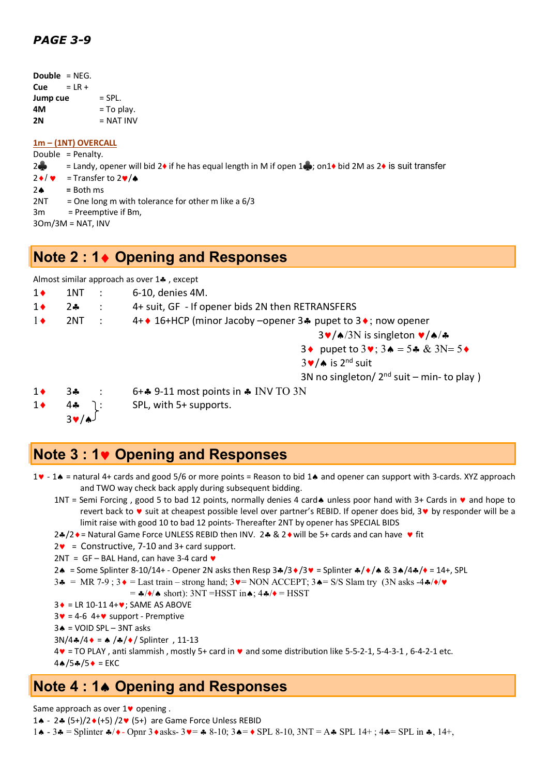| <b>Double</b> $= NEG$ . |          |              |
|-------------------------|----------|--------------|
| Cue                     | $= IR +$ |              |
| Jump cue                |          | $=$ SPL.     |
| 4Μ                      |          | $=$ To play. |
| 2Ν                      |          | = NAT INV    |

#### **1m – (1NT) OVERCALL**

Double = Penalty.

2♣ = Landy, opener will bid 2♦ if he has equal length in M if open 1♣; on1♦ bid 2M as 2♦ is suit transfer

- $2 \cdot / \cdot$  = Transfer to  $2 \cdot / \cdot$
- $2 \triangle$  = Both ms
- $2NT = One long m with tolerance for other m like a  $6/3$$
- 3m = Preemptive if Bm,

 $30m/3M = NAT$ , INV

### **Note 2 : 1**¨ **Opening and Responses**

Almost similar approach as over 14. except

| $1\bullet$ | 1NT                                  | $\ddot{\cdot}$       | 6-10, denies 4M.                                                                                                             |
|------------|--------------------------------------|----------------------|------------------------------------------------------------------------------------------------------------------------------|
| $1\bullet$ | $2 -$                                |                      | 4+ suit, GF - If opener bids 2N then RETRANSFERS                                                                             |
| $1\bullet$ | 2NT                                  | $\sim 10^7$          | 4+◆ 16+HCP (minor Jacoby -opener 3↓ pupet to 3◆; now opener                                                                  |
|            |                                      |                      | 3 $\blacktriangleright$ / $\blacktriangle$ /3N is singleton $\blacktriangleright$ / $\blacktriangle$ / $\blacktriangleright$ |
|            |                                      |                      | 3 $\bullet$ pupet to 3 $\bullet$ ; 3 $\bullet$ = 5 $\bullet$ & 3N= 5 $\bullet$                                               |
|            |                                      |                      | $3\vee$ / $\wedge$ is 2 <sup>nd</sup> suit                                                                                   |
|            |                                      |                      | 3N no singleton/ $2^{nd}$ suit – min- to play)                                                                               |
| $1\bullet$ | 3♣                                   | $\sim$ $\sim$ $\sim$ | 6+ $\clubsuit$ 9-11 most points in $\clubsuit$ INV TO 3N                                                                     |
| $1\bullet$ | $4 -$                                |                      | SPL, with 5+ supports.                                                                                                       |
|            | $3\blacktriangledown/\blacktriangle$ |                      |                                                                                                                              |
|            |                                      |                      |                                                                                                                              |

## **Note 3 : 1**© **Opening and Responses**

- 1 $\cdot$  1 $\cdot$  = natural 4+ cards and good 5/6 or more points = Reason to bid 1 $\cdot$  and opener can support with 3-cards. XYZ approach and TWO way check back apply during subsequent bidding.
	- 1NT = Semi Forcing, good 5 to bad 12 points, normally denies 4 card. unless poor hand with 3+ Cards in  $\bullet$  and hope to revert back to v suit at cheapest possible level over partner's REBID. If opener does bid, 3v by responder will be a limit raise with good 10 to bad 12 points- Thereafter 2NT by opener has SPECIAL BIDS
	- 2♦/2  $\bullet$  = Natural Game Force UNLESS REBID then INV. 2♣ & 2 $\bullet$  will be 5+ cards and can have  $\bullet$  fit
	- $2\mathbf{v}$  = Constructive, 7-10 and 3+ card support.
	- $2NT = GF BAL$  Hand, can have 3-4 card  $\blacktriangledown$
	- 24 = Some Splinter 8-10/14+ Opener 2N asks then Resp  $3\cdot\sqrt{3}\cdot\sqrt{3}\cdot\sqrt{3}$  = Splinter  $\cdot\sqrt{}/4$  &  $3\cdot\sqrt{4}$  / $\cdot\sqrt{4}$  = 14+, SPL

```
3\bullet = MR 7-9; 3\bullet = Last train - strong hand; 3\bullet = NON ACCEPT; 3\bullet = S/S Slam try (3N asks -4\bullet/\bullet/\bullet
```

$$
=
$$
  $\clubsuit/\spadesuit$  short): 3NT = HSST in  $\spadesuit$ ;  $4\clubsuit/\spadesuit$  = HSST

- $3 \cdot =$  LR 10-11 4+ $\cdot$ ; SAME AS ABOVE
- $3\blacktriangledown = 4-6$  4+ $\blacktriangledown$  support Premptive

 $3 \triangle$  = VOID SPL – 3NT asks

 $3N/4$  $/4$  =  $\star$  / $\star$ / $\star$ / Splinter , 11-13

4© = TO PLAY , anti slammish , mostly 5+ card in © and some distribution like 5-5-2-1, 5-4-3-1 , 6-4-2-1 etc.

 $4*/5*/5* = EKC$ 

### **Note 4 : 1**ª **Opening and Responses**

Same approach as over  $1\blacktriangledown$  opening . 1♦ - 2♣ (5+)/2♦ (+5) /2♥ (5+) are Game Force Unless REBID  $1 \spadesuit - 3 \spadesuit = \text{Splitter} \clubsuit / \spadesuit - \text{Opnr } 3 \spadesuit \text{ asks-} 3 \spadesuit = \clubsuit 8-10; 3 \spadesuit = \spadesuit \text{SPL } 8-10, 3NT = A \clubsuit \text{SPL } 14+; 4 \spadesuit = \text{SPL in } \clubsuit$ ,  $14+$ ,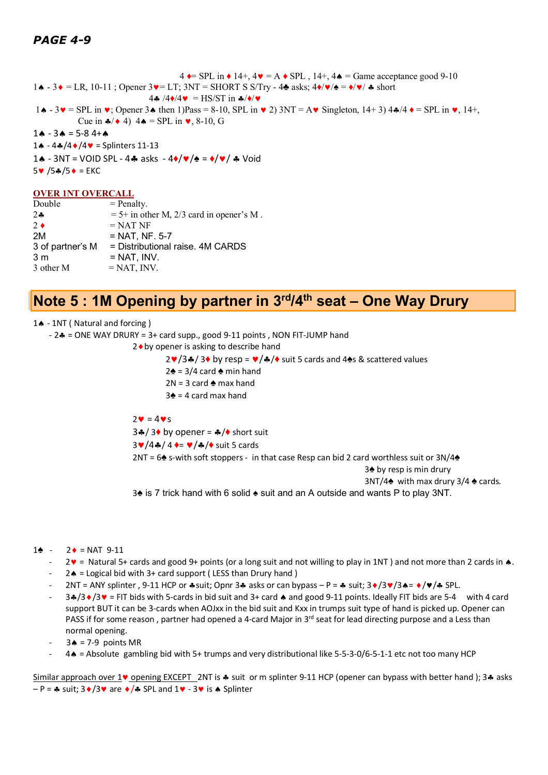### *PAGE 4-9*

 $4 \leftarrow$  SPL in  $\leftarrow$  14+,  $4 \leftarrow$  = A  $\leftarrow$  SPL, 14+,  $4 \leftarrow$  = Game acceptance good 9-10  $1 \cdot \cdot \cdot 3 \cdot \cdot = \text{LR}$ , 10-11; Opener  $3 \cdot \cdot \cdot = \text{LT}$ ;  $3NT = \text{SHORT}$  S  $S/Try - 4 \cdot \cdot 3 \cdot \cdot \cdot = \text{AR}$ ;  $4 \cdot \cdot \cdot \cdot = \text{AR}$  short 4 $\clubsuit$  /4 $\spadesuit$ /4 $\blacktriangleright$  = HS/ST in  $\clubsuit$ / $\blacktriangleright$ / $\blacktriangleright$  $1\spadesuit - 3\spadesuit = \text{SPL}$  in  $\pmb{v}$ ; Opener 3 $\spadesuit$  then 1)Pass = 8-10, SPL in  $\pmb{v}$  2) 3NT = A $\pmb{v}$  Singleton, 14+ 3) 4 $\spadesuit$ /4 $\spadesuit$  = SPL in  $\pmb{v}$ , 14+, Cue in  $\clubsuit$ / $\spadesuit$  4) 4 $\spadesuit$  = SPL in  $\blacktriangledown$ , 8-10, G  $1 \spadesuit - 3 \spadesuit = 5 - 84 + \spadesuit$ 14 - 44/4  $/(4 \cdot 5)$  = Splinters 11-13 1 $\triangle$  - 3NT = VOID SPL - 4 $\triangle$  asks - 4 $\angle$   $\angle$   $\angle$   $\triangle$  =  $\angle$   $\angle$   $\angle$   $\triangle$  Void  $5 \cdot \sqrt{5}$  /5  $\cdot =$  EKC

#### **OVER 1NT OVERCALL**

| Double           | $=$ Penalty.                               |
|------------------|--------------------------------------------|
| $2 -$            | $= 5+$ in other M, 2/3 card in opener's M. |
| $2 \bullet$      | $=$ NAT NF                                 |
| 2M               | $=$ NAT. NF. 5-7                           |
| 3 of partner's M | = Distributional raise. 4M CARDS           |
| 3 <sub>m</sub>   | $=$ NAT, INV.                              |
| 3 other M        | $=$ NAT, INV.                              |
|                  |                                            |

# **Note 5 : 1M Opening by partner in 3rd/4th seat – One Way Drury**

14 - 1NT ( Natural and forcing )

- 2§ = ONE WAY DRURY = 3+ card supp., good 9-11 points , NON FIT-JUMP hand
	- 2 ♦ by opener is asking to describe hand
		- 2♥/3♣/ 3♦ by resp = ♥/♣/♦ suit 5 cards and 4♠s & scattered values
		- 2 $\triangle$  = 3/4 card  $\triangle$  min hand
		- $2N = 3$  card  $\triangle$  max hand
		- 3♠ = 4 card max hand

 $2\mathbf{v} = 4\mathbf{v}$ s

3 $4/3$  by opener =  $4/$  short suit

 $3\vee/4\clubsuit/4\bullet=\vee/4\bullet/\bullet$  suit 5 cards

2NT =  $6\text{A}$  s-with soft stoppers - in that case Resp can bid 2 card worthless suit or 3N/4 $\text{A}$ 

3♠ by resp is min drury

3NT/4 $\spadesuit$  with max drury 3/4  $\spadesuit$  cards.

3♠ is 7 trick hand with 6 solid ♠ suit and an A outside and wants P to play 3NT.

- $1$ **♦** 2 ♦ = NAT 9-11
	- $2\mathbf{v}$  = Natural 5+ cards and good 9+ points (or a long suit and not willing to play in 1NT) and not more than 2 cards in  $\clubsuit$ .
	- $2\spadesuit$  = Logical bid with 3+ card support (LESS than Drury hand )
	- 2NT = ANY splinter , 9-11 HCP or  $\clubsuit$  suit; Opnr 3 $\clubsuit$  asks or can bypass P =  $\clubsuit$  suit; 3 $\spadesuit$ /3 $\spadesuit$ /3 $\spadesuit$  =  $\spadesuit$ / $\blacktriangledown$ / $\clubsuit$  SPL.
	- $3*/3* =$  FIT bids with 5-cards in bid suit and 3+ card  $\bullet$  and good 9-11 points. Ideally FIT bids are 5-4 with 4 card support BUT it can be 3-cards when AOJxx in the bid suit and Kxx in trumps suit type of hand is picked up. Opener can PASS if for some reason, partner had opened a 4-card Major in  $3^{rd}$  seat for lead directing purpose and a Less than normal opening.
	- $3 \triangle = 7-9$  points MR
	- 4ª = Absolute gambling bid with 5+ trumps and very distributional like 5-5-3-0/6-5-1-1 etc not too many HCP

Similar approach over 1<sup>v</sup> opening EXCEPT 2NT is  $*$  suit or m splinter 9-11 HCP (opener can bypass with better hand ); 3\* asks  $-P = 4$  suit;  $3 \cdot 3 \cdot 3 \cdot 3 \cdot 3 \cdot 3 \cdot 5$  SPL and  $1 \cdot 3 \cdot 3 \cdot 5 \cdot 5 \cdot 5$  Splinter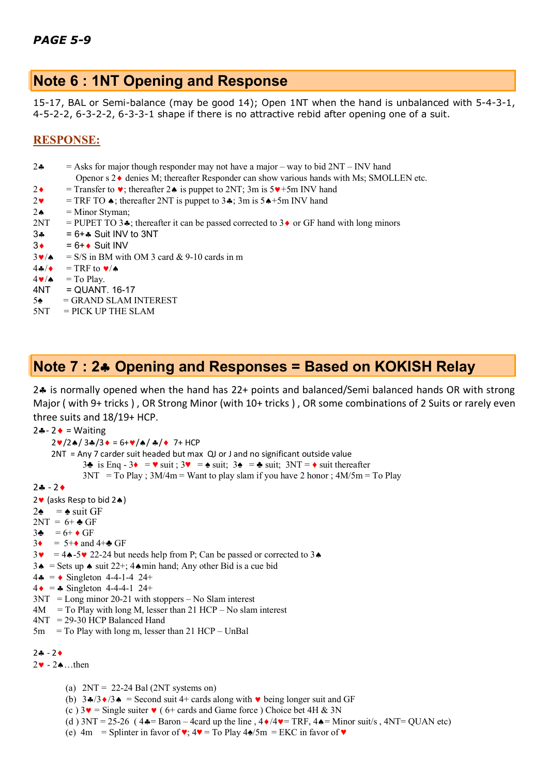# **Note 6 : 1NT Opening and Response**

15-17, BAL or Semi-balance (may be good 14); Open 1NT when the hand is unbalanced with 5-4-3-1, 4-5-2-2, 6-3-2-2, 6-3-3-1 shape if there is no attractive rebid after opening one of a suit.

#### **RESPONSE:**

| $2\bullet$              | $=$ Asks for major though responder may not have a major – way to bid $2NT$ – INV hand<br>Openor s $2 \cdot \bullet$ denies M; thereafter Responder can show various hands with Ms; SMOLLEN etc. |
|-------------------------|--------------------------------------------------------------------------------------------------------------------------------------------------------------------------------------------------|
| $2\bullet$              | = Transfer to $\bullet$ ; thereafter 2 $\bullet$ is puppet to 2NT; 3m is 5 $\bullet$ +5m INV hand                                                                                                |
| $2\bullet$              | = TRF TO $\star$ ; thereafter 2NT is puppet to 3 $\star$ ; 3m is 5 $\star$ +5m INV hand                                                                                                          |
| $2 \spadesuit$          | $=$ Minor Styman;                                                                                                                                                                                |
| 2NT                     | = PUPET TO 3 $\bullet$ ; thereafter it can be passed corrected to 3 $\bullet$ or GF hand with long minors                                                                                        |
| $3 -$                   | $= 6 +$ Suit INV to 3NT                                                                                                                                                                          |
| $3\bullet$              | $= 6 + \bullet$ Suit INV                                                                                                                                                                         |
| $3 \cdot 4$             | $=$ S/S in BM with OM 3 card & 9-10 cards in m                                                                                                                                                   |
| $4\clubsuit/\spadesuit$ | $=$ TRF to $\vee$ $\wedge$                                                                                                                                                                       |
| $4 \cdot / \bullet$     | $=$ To Play.                                                                                                                                                                                     |
| 4NT                     | $=$ QUANT. 16-17                                                                                                                                                                                 |
| $5\bullet$              | $=$ GRAND SLAM INTEREST                                                                                                                                                                          |
| 5NT                     | $=$ PICK UP THE SLAM                                                                                                                                                                             |

### **Note 7 : 2**§ **Opening and Responses = Based on KOKISH Relay**

2§ is normally opened when the hand has 22+ points and balanced/Semi balanced hands OR with strong Major ( with 9+ tricks ) , OR Strong Minor (with 10+ tricks ) , OR some combinations of 2 Suits or rarely even three suits and 18/19+ HCP.

```
2\rightarrow -2\rightarrow = Waiting
      2 \cdot \frac{2 \cdot 3}{2 \cdot 4} 3\cdot \frac{2 \cdot 5}{2 \cdot 5} = 6+\cdot \frac{2 \cdot 5}{2 \cdot 4} \cdot \frac{2 \cdot 5}{2 \cdot 4} 7+ HCP
      2NT = Any 7 carder suit headed but max QJ or J and no significant outside value
                 3\bullet is Eng - 3\bullet = \bullet suit; 3\bullet = \bullet suit; 3A = \bullet suit; 3NT = \bullet suit thereafter
                 3NT = To Play; 3M/4m = Want to play slam if you have 2 honor; 4M/5m = To Play2 - 22♥ (asks Resp to bid 2♦)
2\triangleq = \triangleq suit GF
2NT = 6 + 4 GF3\clubsuit = 6+ \spadesuit \text{GF}3\bullet = 5 + \bullet and 4 + \bullet GF
3\mathbf{v} = 4\mathbf{A} - 5\mathbf{v} 22-24 but needs help from P; Can be passed or corrected to 3\mathbf{A}3\triangle = Sets up \triangle suit 22+; 4\trianglemin hand; Any other Bid is a cue bid
4 \cdot \bullet = \bullet Singleton 4-4-1-4 24+
4 \cdot = 4 Singleton 4-4-4-1 24+
3NT = Long minor 20-21 with stoppers - No Slam interest4M = To Play with long M, lesser than 21 HCP - No slam interest4NT = 29-30 HCP Balanced Hand
5m = To Play with long m, lesser than 21 HCP - UnBal2a - 22 \cdot 2 \cdot ...then
```
- (a)  $2NT = 22-24$  Bal (2NT systems on)
- (b)  $3\frac{4}{3}$  /3 $\bullet$  = Second suit 4+ cards along with  $\bullet$  being longer suit and GF
- (c)  $3\mathbf{v} =$  Single suiter  $\mathbf{v}$  (6+ cards and Game force) Choice bet 4H & 3N
- (d)  $3NT = 25-26$  (4 $\clubsuit$ = Baron 4card up the line,  $4\blacklozenge/4\blacktriangledown$ = TRF,  $4\blacklozenge$ = Minor suit/s,  $4NT = QUAN$  etc)
- (e) 4m = Splinter in favor of  $\blacktriangledown$ ; 4 $\blacktriangledown$  = To Play 4 $\blacktriangle$ /5m = EKC in favor of  $\blacktriangledown$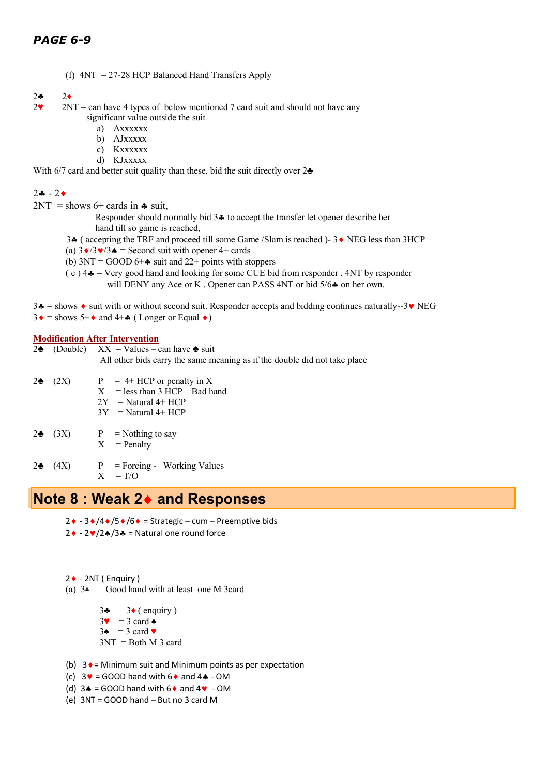(f) 4NT = 27-28 HCP Balanced Hand Transfers Apply

2♣ 2♦

- $2\mathbf{v}$  2NT = can have 4 types of below mentioned 7 card suit and should not have any significant value outside the suit
	- a) Axxxxxx
	- b) AJxxxxx
	- c) Kxxxxxx
	- d) KJxxxxx

With 6/7 card and better suit quality than these, bid the suit directly over 2♣

#### $2 - 2$

 $2NT =$ shows 6+ cards in  $\clubsuit$  suit,

Responder should normally bid 3 $\clubsuit$  to accept the transfer let opener describe her hand till so game is reached,

- 3 $\bullet$  ( accepting the TRF and proceed till some Game /Slam is reached )-3 $\bullet$  NEG less than 3HCP
- (a)  $3 \cdot 3 \cdot 3 \cdot 5 =$  Second suit with opener 4+ cards
- (b)  $3NT = GOOD 6 +$  suit and  $22 +$  points with stoppers
- $(c)$  4 $\clubsuit$  = Very good hand and looking for some CUE bid from responder . 4NT by responder will DENY any Ace or K. Opener can PASS 4NT or bid 5/6 $\clubsuit$  on her own.

 $3\clubsuit$  = shows  $\bullet$  suit with or without second suit. Responder accepts and bidding continues naturally--3 $\bullet$  NEG

 $3 \cdot =$  shows 5+ $\cdot$  and 4+ $\cdot$  (Longer or Equal  $\cdot$ )

#### **Modification After Intervention**

2 $\triangle$  (Double) XX = Values – can have  $\triangle$  suit All other bids carry the same meaning as if the double did not take place 2 $\bullet$  (2X) P = 4+ HCP or penalty in X  $X =$  less than 3 HCP – Bad hand  $2Y$  = Natural 4+ HCP  $3Y$  = Natural 4+ HCP

- 2 $\bullet$  (3X) P = Nothing to say
	- $X =$  Penalty
- 2 $\triangle$  (4X) P = Forcing Working Values  $X = T/O$

### **Note 8 : Weak 2**¨ **and Responses**

- $2 \cdot 3 \cdot /4 \cdot /5 \cdot /6 \cdot =$  Strategic cum Preemptive bids
- $2 \cdot 2 \cdot / 2 \cdot / 3 \cdot =$  Natural one round force

 $2 \cdot - 2NT$  (Enquiry )

- (a)  $3\bullet$  = Good hand with at least one M 3card
	- $3\bullet$  3 $\bullet$  (enquiry)  $3\bullet = 3$  card  $\bullet$  $3\bullet = 3$  card  $\bullet$  $3NT = Both M 3 card$
- (b)  $3 \cdot$  = Minimum suit and Minimum points as per expectation
- (c)  $3\blacktriangledown$  = GOOD hand with 6 $\blacklozenge$  and 4 $\blacktriangle$  OM
- (d)  $3 \triangle =$  GOOD hand with  $6 \triangleleft$  and  $4 \triangleright$  OM
- (e) 3NT = GOOD hand But no 3 card M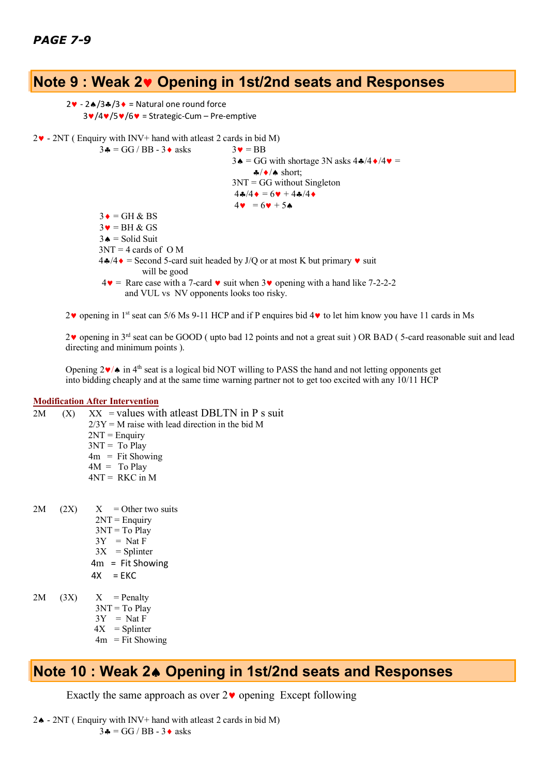### **Note 9 : Weak 2**© **Opening in 1st/2nd seats and Responses**

2 $\bullet$  - 2 $\bullet$ /3 $\bullet$ /3 $\bullet$  = Natural one round force 3©/4©/5©/6© = Strategic-Cum – Pre-emptive

 $2\mathbf{v}$  - 2NT (Enquiry with INV+ hand with atleast 2 cards in bid M)

 $3\bullet = GG / BB - 3\bullet$  asks  $3\bullet = BB$  $3 \triangle = GG$  with shortage 3N asks  $4 \triangle 4 \triangle 4 \blacktriangleright 4 \blacktriangleright 4$  $\frac{1}{2}$  /  $\bullet$  short;  $3NT = GG$  without Singleton  $4\clubsuit/4\bullet = 6\bullet + 4\clubsuit/4\bullet$  $4\mathbf{v} = 6\mathbf{v} + 5\mathbf{A}$  $3 \triangleleft$  = GH & BS  $3\bullet = BH & GS$  $3 \triangle =$  Solid Suit  $3NT = 4$  cards of O M  $4 \cdot 4 \cdot 4 \cdot 5$  = Second 5-card suit headed by J/Q or at most K but primary  $\bullet$  suit will be good  $4\mathbf{v}$  = Rare case with a 7-card  $\mathbf{v}$  suit when 3 $\mathbf{v}$  opening with a hand like 7-2-2-2 and VUL vs NV opponents looks too risky.

 $2\blacktriangledown$  opening in 1<sup>st</sup> seat can 5/6 Ms 9-11 HCP and if P enquires bid 4 $\blacktriangledown$  to let him know you have 11 cards in Ms

 $2\blacktriangledown$  opening in  $3^{rd}$  seat can be GOOD ( upto bad 12 points and not a great suit ) OR BAD ( 5-card reasonable suit and lead directing and minimum points ).

Opening  $2\vee$   $\wedge$  in  $4^{\text{th}}$  seat is a logical bid NOT willing to PASS the hand and not letting opponents get into bidding cheaply and at the same time warning partner not to get too excited with any 10/11 HCP

#### **Modification After Intervention**

 $2M$  (X) XX = values with atleast DBLTN in P s suit  $2/3Y = M$  raise with lead direction in the bid M  $2NT =$  Enquiry  $3NT = To Play$  $4m$  = Fit Showing  $4M = To Play$  $4NT = RKC$  in M

- $2M$  (2X)  $X =$  Other two suits  $2NT =$  Enquiry 3NT = To Play  $3Y = Nat F$  $3X = Splinter$  4m = Fit Showing  $4X = EKC$
- $2M$  (3X)  $X$  = Penalty
	- 3NT = To Play
	- $3Y = Nat F$
	- $4X = Splinter$  $4m$  = Fit Showing

### **Note 10 : Weak 2**ª **Opening in 1st/2nd seats and Responses**

Exactly the same approach as over  $2\vee$  opening Except following

```
2\spadesuit - 2NT (Enquiry with INV+ hand with atleast 2 cards in bid M)
                     3\clubsuit = G/G/BB - 3\spadesuit asks
```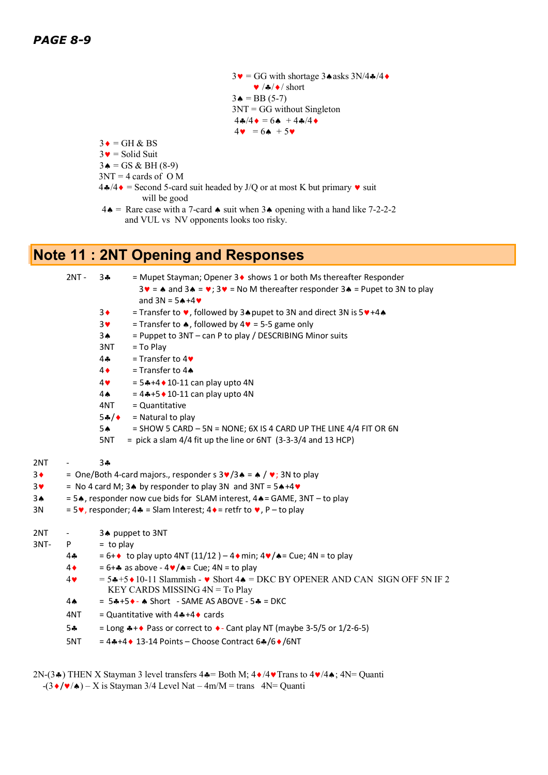$3\bullet = GG$  with shortage 3 $\bullet$  asks 3N/4 $\bullet$ /4 $\bullet$  $\blacktriangleright$  / $\blacklozenge$ / $\blacklozenge$  / short  $3 \triangle = BB (5-7)$ 3NT = GG without Singleton  $4\cdot 4\cdot 4 = 6\cdot 4 + 4\cdot 4\cdot 4$  $4\mathbf{v} = 6\mathbf{A} + 5\mathbf{v}$ 

 $3 \triangleleft$  = GH & BS

 $3\bullet$  = Solid Suit

 $3 \triangle = GS & BH (8-9)$ 

 $3NT = 4$  cards of O M

- $4\cdot/4\cdot$  = Second 5-card suit headed by J/Q or at most K but primary  $\bullet$  suit will be good
- $4 \triangle =$  Rare case with a 7-card  $\triangle$  suit when 3 $\triangle$  opening with a hand like 7-2-2-2 and VUL vs NV opponents looks too risky.

# **Note 11 : 2NT Opening and Responses**

|                | $2NT -$                  | $3 +$<br>= Mupet Stayman; Opener 3♦ shows 1 or both Ms thereafter Responder<br>$3 \cdot =$ $\bullet$ and $3 \cdot = \bullet$ ; $3 \cdot =$ No M thereafter responder $3 \cdot =$ Pupet to 3N to play<br>and $3N = 5 + 4$ |  |  |  |  |  |
|----------------|--------------------------|--------------------------------------------------------------------------------------------------------------------------------------------------------------------------------------------------------------------------|--|--|--|--|--|
|                |                          | = Transfer to $\vee$ , followed by 34 pupet to 3N and direct 3N is 5 $\vee$ +44<br>$3\bullet$                                                                                                                            |  |  |  |  |  |
|                |                          | = Transfer to $\triangle$ , followed by 4 $\triangledown$ = 5-5 game only<br>$3$ $\blacktriangledown$                                                                                                                    |  |  |  |  |  |
|                |                          | = Puppet to 3NT - can P to play / DESCRIBING Minor suits<br>3 <sub>•</sub>                                                                                                                                               |  |  |  |  |  |
|                |                          | 3NT<br>$=$ To Play                                                                                                                                                                                                       |  |  |  |  |  |
|                |                          | $=$ Transfer to 4 $\blacktriangleright$<br>$4\clubsuit$                                                                                                                                                                  |  |  |  |  |  |
|                |                          | $=$ Transfer to 4 $\spadesuit$<br>$4\bullet$                                                                                                                                                                             |  |  |  |  |  |
|                |                          | $= 5 + 4$ $\triangle$ 10-11 can play upto 4N<br>$4$ $\blacktriangledown$                                                                                                                                                 |  |  |  |  |  |
|                |                          | $= 4 + 5 * 10 - 11$ can play upto 4N<br>$4 \spadesuit$                                                                                                                                                                   |  |  |  |  |  |
|                |                          | 4NT<br>$=$ Quantitative                                                                                                                                                                                                  |  |  |  |  |  |
|                |                          | = Natural to play<br>$5 - 4$                                                                                                                                                                                             |  |  |  |  |  |
|                |                          | $=$ SHOW 5 CARD $-$ 5N $=$ NONE; 6X IS 4 CARD UP THE LINE 4/4 FIT OR 6N<br>5♠                                                                                                                                            |  |  |  |  |  |
|                |                          | $=$ pick a slam 4/4 fit up the line or 6NT (3-3-3/4 and 13 HCP)<br>5NT                                                                                                                                                   |  |  |  |  |  |
| 2NT            |                          | $3 +$                                                                                                                                                                                                                    |  |  |  |  |  |
| $3 \bullet$    |                          | = One/Both 4-card majors., responder s $3\vee/3$ $\triangle$ = $\triangle$ / $\vee$ ; 3N to play                                                                                                                         |  |  |  |  |  |
| 3 <sub>Y</sub> |                          | = No 4 card M; 3. by responder to play 3N and 3NT = $5$ . $+4$ $\bullet$                                                                                                                                                 |  |  |  |  |  |
| 3♠             |                          | = 5. responder now cue bids for SLAM interest, 4. = GAME, 3NT - to play                                                                                                                                                  |  |  |  |  |  |
| 3N             |                          | = 5., responder; 4. = Slam Interest; 4. = retfr to $\bullet$ , P – to play                                                                                                                                               |  |  |  |  |  |
| 2NT            | $\overline{\phantom{a}}$ | 34 puppet to 3NT                                                                                                                                                                                                         |  |  |  |  |  |
| 3NT-           | P                        | $=$ to play                                                                                                                                                                                                              |  |  |  |  |  |
|                | $4 -$                    | = 6+ $\bullet$ to play upto 4NT (11/12) – 4 $\bullet$ min; 4 $\bullet$ / $\bullet$ = Cue; 4N = to play                                                                                                                   |  |  |  |  |  |
|                | $4\bullet$               | $= 6 +$ as above - 4 $\sqrt{a}$ = Cue; 4N = to play                                                                                                                                                                      |  |  |  |  |  |
|                | $4\blacktriangledown$    | $= 5$ $+5$ $\bullet$ 10-11 Slammish - $\bullet$ Short 4 $\bullet$ = DKC BY OPENER AND CAN SIGN OFF 5N IF 2<br>KEY CARDS MISSING 4N = To Play                                                                             |  |  |  |  |  |
|                | 4A                       | $= 5 + 5$ + $-$ A Short - SAME AS ABOVE - $5$ + = DKC                                                                                                                                                                    |  |  |  |  |  |
|                | 4NT                      | = Quantitative with $4$ $+4$ $\bullet$ cards                                                                                                                                                                             |  |  |  |  |  |
|                | 5÷                       | = Long $*+$ Pass or correct to $*$ - Cant play NT (maybe 3-5/5 or 1/2-6-5)                                                                                                                                               |  |  |  |  |  |
|                | 5NT                      | = $44+4$ + 13-14 Points – Choose Contract $6*/6*/6$ NT                                                                                                                                                                   |  |  |  |  |  |
|                |                          |                                                                                                                                                                                                                          |  |  |  |  |  |

2N-(3 $\clubsuit$ ) THEN X Stayman 3 level transfers 4 $\clubsuit$  = Both M; 4 $\bullet$ /4 $\blacktriangleright$  Trans to 4 $\blacktriangleright$ /4 $\spadesuit$ ; 4N= Quanti  $-(3 \cdot / \cdot \cdot) - X$  is Stayman 3/4 Level Nat – 4m/M = trans 4N= Quanti